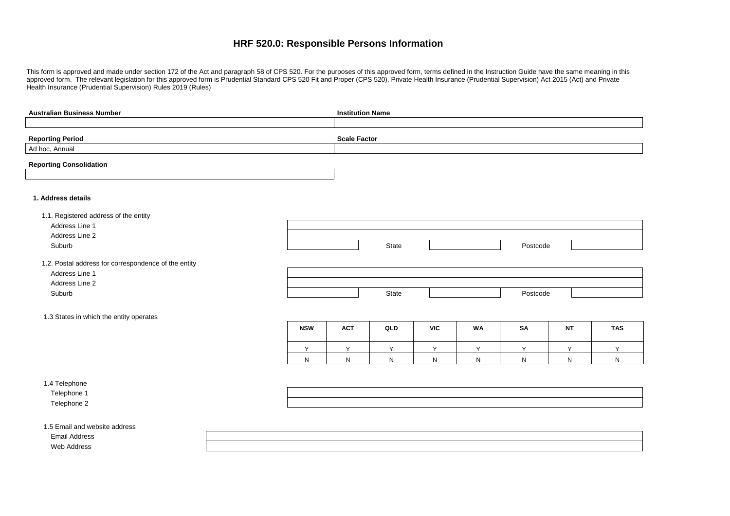# **HRF 520.0: Responsible Persons Information**

This form is approved and made under section 172 of the Act and paragraph 58 of CPS 520. For the purposes of this approved form, terms defined in the Instruction Guide have the same meaning in this approved form. The relevant legislation for this approved form is Prudential Standard CPS 520 Fit and Proper (CPS 520), Private Health Insurance (Prudential Supervision) Act 2015 (Act) and Private Health Insurance (Prudential Supervision) Rules 2019 (Rules)

| <b>Australian Business Number</b>                    | <b>Institution Name</b> |                     |       |              |           |           |              |            |
|------------------------------------------------------|-------------------------|---------------------|-------|--------------|-----------|-----------|--------------|------------|
|                                                      |                         |                     |       |              |           |           |              |            |
| <b>Reporting Period</b>                              |                         | <b>Scale Factor</b> |       |              |           |           |              |            |
| Ad hoc, Annual                                       |                         |                     |       |              |           |           |              |            |
|                                                      |                         |                     |       |              |           |           |              |            |
| <b>Reporting Consolidation</b>                       |                         |                     |       |              |           |           |              |            |
|                                                      |                         |                     |       |              |           |           |              |            |
|                                                      |                         |                     |       |              |           |           |              |            |
| 1. Address details                                   |                         |                     |       |              |           |           |              |            |
| 1.1. Registered address of the entity                |                         |                     |       |              |           |           |              |            |
| Address Line 1                                       |                         |                     |       |              |           |           |              |            |
| Address Line 2                                       |                         |                     |       |              |           |           |              |            |
| Suburb                                               |                         |                     | State |              |           | Postcode  |              |            |
|                                                      |                         |                     |       |              |           |           |              |            |
| 1.2. Postal address for correspondence of the entity |                         |                     |       |              |           |           |              |            |
| Address Line 1                                       |                         |                     |       |              |           |           |              |            |
| Address Line 2                                       |                         |                     |       |              |           |           |              |            |
| Suburb                                               |                         |                     | State |              |           | Postcode  |              |            |
|                                                      |                         |                     |       |              |           |           |              |            |
| 1.3 States in which the entity operates              |                         |                     |       |              |           |           |              |            |
|                                                      | <b>NSW</b>              | <b>ACT</b>          | QLD   | <b>VIC</b>   | <b>WA</b> | <b>SA</b> | <b>NT</b>    | <b>TAS</b> |
|                                                      |                         |                     |       |              |           |           |              |            |
|                                                      | Y                       | Y                   | Y     | Y            | Y         | Y         | Y            | Y.         |
|                                                      | ${\sf N}$               | N                   | N     | $\mathsf{N}$ | N         | N         | $\mathsf{N}$ | N.         |
|                                                      |                         |                     |       |              |           |           |              |            |
| 1.4 Telephone                                        |                         |                     |       |              |           |           |              |            |
| Telephone 1                                          |                         |                     |       |              |           |           |              |            |
| Telephone 2                                          |                         |                     |       |              |           |           |              |            |
|                                                      |                         |                     |       |              |           |           |              |            |
| 1.5 Email and website address                        |                         |                     |       |              |           |           |              |            |
| <b>Email Address</b>                                 |                         |                     |       |              |           |           |              |            |
| Web Address                                          |                         |                     |       |              |           |           |              |            |
|                                                      |                         |                     |       |              |           |           |              |            |



| <b>NT</b> | <b>TAS</b> |
|-----------|------------|
|           | v          |
| N         | N          |

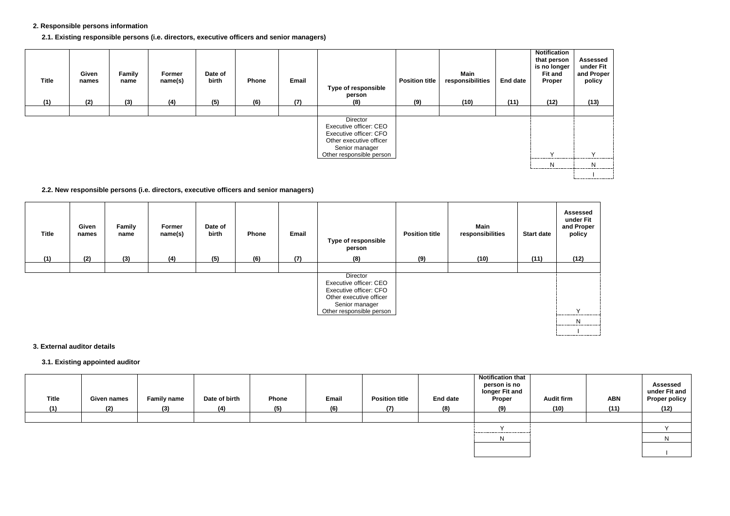#### **2. Responsible persons information**

#### **2.1. Existing responsible persons (i.e. directors, executive officers and senior managers)**

| <b>Title</b><br>(1) | Given<br>names<br>(2) | Family<br>name<br>(3) | Former<br>name(s)<br>(4) | Date of<br>birth<br>(5) | Phone<br>(6) | Email<br>(7) | Type of responsible<br>person<br>(8)                                                                                                  | <b>Position title</b><br>(9) | Main<br>responsibilities<br>(10) | <b>End date</b><br>(11) | <b>Notification</b><br>that person<br>is no longer<br><b>Fit and</b><br>Proper<br>(12) | Asses:<br>under<br>and Pro<br>polic<br>(13) |
|---------------------|-----------------------|-----------------------|--------------------------|-------------------------|--------------|--------------|---------------------------------------------------------------------------------------------------------------------------------------|------------------------------|----------------------------------|-------------------------|----------------------------------------------------------------------------------------|---------------------------------------------|
|                     |                       |                       |                          |                         |              |              |                                                                                                                                       |                              |                                  |                         |                                                                                        |                                             |
|                     |                       |                       |                          |                         |              |              | Director<br>Executive officer: CEO<br>Executive officer: CFO<br>Other executive officer<br>Senior manager<br>Other responsible person |                              |                                  |                         | $\lambda$                                                                              | $\checkmark$                                |
|                     |                       |                       |                          |                         |              |              |                                                                                                                                       |                              |                                  |                         | N                                                                                      | N                                           |



#### **2.2. New responsible persons (i.e. directors, executive officers and senior managers)**

| <b>Title</b> | Given<br>names | <b>Family</b><br>name | Former<br>name(s) | Date of<br>birth | Phone | Email | <b>Type of responsible</b><br>person                                                                                                  | <b>Position title</b> | <b>Main</b><br>responsibilities | <b>Start date</b> | Asses:<br>under<br>and Pro<br>polic |
|--------------|----------------|-----------------------|-------------------|------------------|-------|-------|---------------------------------------------------------------------------------------------------------------------------------------|-----------------------|---------------------------------|-------------------|-------------------------------------|
| (1)          | (2)            | (3)                   | (4)               | (5)              | (6)   | (7)   | (8)                                                                                                                                   | (9)                   | (10)                            | (11)              | (12)                                |
|              |                |                       |                   |                  |       |       |                                                                                                                                       |                       |                                 |                   |                                     |
|              |                |                       |                   |                  |       |       | Director<br>Executive officer: CEO<br>Executive officer: CFO<br>Other executive officer<br>Senior manager<br>Other responsible person |                       |                                 |                   | $\vee$<br>                          |



#### **3. External auditor details**

#### **3.1. Existing appointed auditor**

| <b>Title</b> | <b>Given names</b> | <b>Family name</b> | Date of birth | <b>Phone</b> | Email | <b>Position title</b> | <b>End date</b> | Notification that<br>person is no<br>longer Fit and<br><b>Proper</b> | <b>Audit firm</b> | <b>ABN</b> | <b>Assessed</b><br>under Fit and<br><b>Proper policy</b> |
|--------------|--------------------|--------------------|---------------|--------------|-------|-----------------------|-----------------|----------------------------------------------------------------------|-------------------|------------|----------------------------------------------------------|
| (1)          | (2)                | (3)                | (4)           | (5)          | (6)   | (7)                   | (8)             | (9)                                                                  | (10)              | (11)       | (12)                                                     |
|              |                    |                    |               |              |       |                       |                 | $\lambda$                                                            |                   |            |                                                          |
|              |                    |                    |               |              |       |                       |                 | N.                                                                   |                   |            |                                                          |
|              |                    |                    |               |              |       |                       |                 |                                                                      |                   |            |                                                          |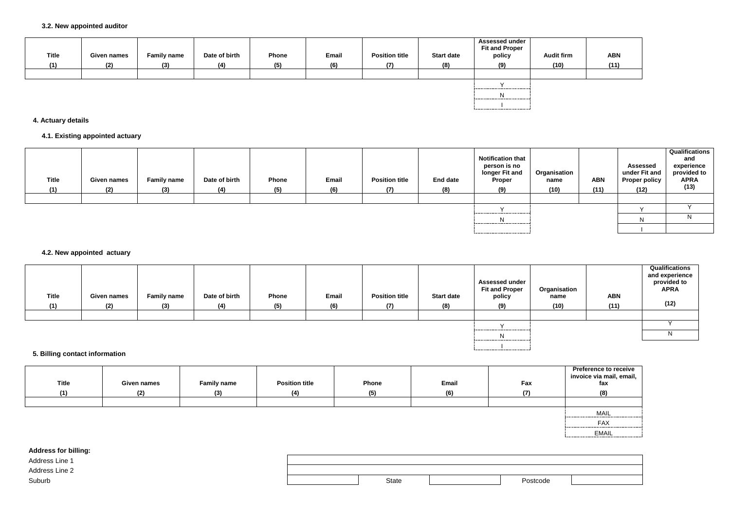| <b>Title</b><br>(1) | <b>Given names</b><br>(2) | <b>Family name</b><br>(3) | Date of birth<br>(4) | Phone<br>(5) | Email<br>(6) | <b>Position title</b><br>(7) | <b>Start date</b><br>(8) | <b>Assessed under</b><br><b>Fit and Proper</b><br>policy<br>(9) | <b>Audit firm</b><br>(10) | <b>ABN</b><br>(11) |
|---------------------|---------------------------|---------------------------|----------------------|--------------|--------------|------------------------------|--------------------------|-----------------------------------------------------------------|---------------------------|--------------------|
|                     |                           |                           |                      |              |              |                              |                          |                                                                 |                           |                    |
|                     |                           |                           |                      |              |              |                              |                          |                                                                 |                           |                    |
|                     |                           |                           |                      |              |              |                              |                          |                                                                 |                           |                    |
|                     |                           |                           |                      |              |              |                              |                          |                                                                 |                           |                    |

# **4. Actuary details**

# **4.1. Existing appointed actuary**

| <b>Title</b><br>(1) | <b>Given names</b><br>(2) | <b>Family name</b><br>(3) | Date of birth<br>(4) | Phone<br>(5) | Email<br>(6) | <b>Position title</b><br>(7) | <b>End date</b><br>(8) | <b>Notification that</b><br>person is no<br>longer Fit and<br><b>Proper</b><br>(9) | Organisation<br>name<br>(10) | <b>ABN</b><br>(11) | <b>Assessed</b><br>under Fit and<br><b>Proper policy</b><br>(12) | <b>Qualifications</b><br>and<br>experience<br>provided to<br><b>APRA</b><br>(13) |
|---------------------|---------------------------|---------------------------|----------------------|--------------|--------------|------------------------------|------------------------|------------------------------------------------------------------------------------|------------------------------|--------------------|------------------------------------------------------------------|----------------------------------------------------------------------------------|
|                     |                           |                           |                      |              |              |                              |                        |                                                                                    |                              |                    |                                                                  |                                                                                  |
|                     |                           |                           |                      |              |              |                              |                        |                                                                                    |                              |                    |                                                                  |                                                                                  |
|                     |                           |                           |                      |              |              |                              |                        |                                                                                    |                              |                    |                                                                  |                                                                                  |
|                     |                           |                           |                      |              |              |                              |                        |                                                                                    |                              |                    |                                                                  |                                                                                  |

| <b>Address for billing:</b> |              |          |
|-----------------------------|--------------|----------|
| Address Line 1              |              |          |
| Address Line 2              |              |          |
| Suburb                      | <b>State</b> | Postcode |

# **4.2. New appointed actuary**

| <b>Title</b> | Given names | <b>Family name</b> | Date of birth | Phone | Email | <b>Position title</b> | <b>Start date</b> | <b>Assessed under</b><br><b>Fit and Proper</b><br>policy | Organisation<br>name | <b>ABN</b> | Qualifications<br>and experience<br>provided to<br><b>APRA</b> |
|--------------|-------------|--------------------|---------------|-------|-------|-----------------------|-------------------|----------------------------------------------------------|----------------------|------------|----------------------------------------------------------------|
| (1)          | (2)         | (3)                | (4)           | (5)   | (6)   | (7)                   | (8)               | (9)                                                      | (10)                 | (11)       | (12)                                                           |
|              |             |                    |               |       |       |                       |                   |                                                          |                      |            |                                                                |
|              |             |                    |               |       |       |                       |                   |                                                          |                      |            |                                                                |
|              |             |                    |               |       |       |                       |                   | $\mathsf{N}$                                             |                      |            |                                                                |

I

# **5. Billing contact information**

| <b>Title</b><br>(4) | Given names<br>(2) | <b>Family name</b><br>(3) | <b>Position title</b><br>(4) | Phone<br>(5) | Email<br>(6) | Fax<br>171 | Preference<br>invoice via n<br>fax<br>(8) |
|---------------------|--------------------|---------------------------|------------------------------|--------------|--------------|------------|-------------------------------------------|
|                     |                    |                           |                              |              |              |            |                                           |

| <b>Preference to receive</b><br>invoice via mail, email,<br>fax |  |  |  |  |  |
|-----------------------------------------------------------------|--|--|--|--|--|
| (8)                                                             |  |  |  |  |  |
|                                                                 |  |  |  |  |  |
| MAIL                                                            |  |  |  |  |  |
| FAX                                                             |  |  |  |  |  |
| EMAIL                                                           |  |  |  |  |  |